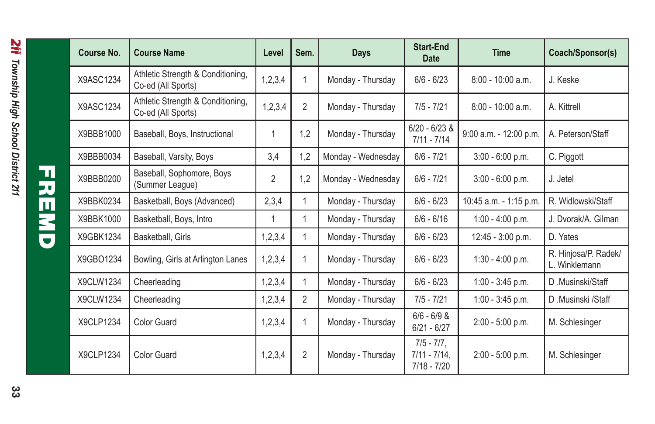|  | <b>Course No.</b> | <b>Course Name</b>                                      | Level          | Sem.           | Days               | <b>Start-End</b><br><b>Date</b>                   | <b>Time</b>            | Coach/Sponsor(s)                      |
|--|-------------------|---------------------------------------------------------|----------------|----------------|--------------------|---------------------------------------------------|------------------------|---------------------------------------|
|  | X9ASC1234         | Athletic Strength & Conditioning,<br>Co-ed (All Sports) | 1,2,3,4        |                | Monday - Thursday  | $6/6 - 6/23$                                      | $8:00 - 10:00$ a.m.    | J. Keske                              |
|  | X9ASC1234         | Athletic Strength & Conditioning,<br>Co-ed (All Sports) | 1,2,3,4        | 2              | Monday - Thursday  | $7/5 - 7/21$                                      | $8:00 - 10:00$ a.m.    | A. Kittrell                           |
|  | X9BBB1000         | Baseball, Boys, Instructional                           | 1              | 1.2            | Monday - Thursday  | $6/20 - 6/23$ &<br>$7/11 - 7/14$                  | 9:00 a.m. - 12:00 p.m. | A. Peterson/Staff                     |
|  | X9BBB0034         | Baseball, Varsity, Boys                                 | 3,4            | 1,2            | Monday - Wednesday | $6/6 - 7/21$                                      | $3:00 - 6:00 p.m.$     | C. Piggott                            |
|  | X9BBB0200         | Baseball, Sophomore, Boys<br>(Summer League)            | $\overline{2}$ | 1,2            | Monday - Wednesday | $6/6 - 7/21$                                      | $3:00 - 6:00 p.m.$     | J. Jetel                              |
|  | X9BBK0234         | Basketball, Boys (Advanced)                             | 2,3,4          |                | Monday - Thursday  | $6/6 - 6/23$                                      | 10:45 a.m. - 1:15 p.m. | R. Widlowski/Staff                    |
|  | X9BBK1000         | Basketball, Boys, Intro                                 | 1              |                | Monday - Thursday  | $6/6 - 6/16$                                      | 1:00 - 4:00 p.m.       | J. Dvorak/A. Gilman                   |
|  | X9GBK1234         | Basketball, Girls                                       | 1,2,3,4        |                | Monday - Thursday  | $6/6 - 6/23$                                      | 12:45 - 3:00 p.m.      | D. Yates                              |
|  | X9GBO1234         | Bowling, Girls at Arlington Lanes                       | 1,2,3,4        |                | Monday - Thursday  | $6/6 - 6/23$                                      | 1:30 - 4:00 p.m.       | R. Hinjosa/P. Radek/<br>L. Winklemann |
|  | X9CLW1234         | Cheerleading                                            | 1,2,3,4        |                | Monday - Thursday  | $6/6 - 6/23$                                      | 1:00 - 3:45 p.m.       | D.Musinski/Staff                      |
|  | X9CLW1234         | Cheerleading                                            | 1,2,3,4        | $\overline{2}$ | Monday - Thursday  | $7/5 - 7/21$                                      | $1:00 - 3:45$ p.m.     | D.Musinski /Staff                     |
|  | X9CLP1234         | <b>Color Guard</b>                                      | 1,2,3,4        |                | Monday - Thursday  | $6/6 - 6/9$ &<br>$6/21 - 6/27$                    | 2:00 - 5:00 p.m.       | M. Schlesinger                        |
|  | X9CLP1234         | <b>Color Guard</b>                                      | 1,2,3,4        | 2              | Monday - Thursday  | $7/5 - 7/7$ .<br>$7/11 - 7/14$ ,<br>$7/18 - 7/20$ | 2:00 - 5:00 p.m.       | M. Schlesinger                        |

FREMD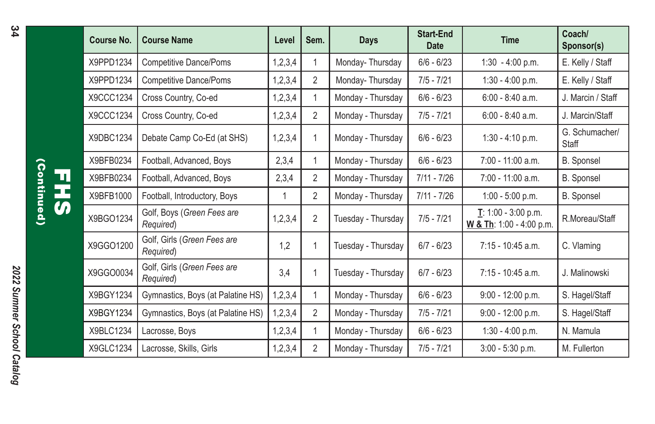|             | Course No. | <b>Course Name</b>                       | Level   | Sem.           | Days               | Start-End<br><b>Date</b> | <b>Time</b>                                                             | Coach/<br>Sponsor(s)    |
|-------------|------------|------------------------------------------|---------|----------------|--------------------|--------------------------|-------------------------------------------------------------------------|-------------------------|
| Ц<br>ц<br>Ŋ | X9PPD1234  | Competitive Dance/Poms                   | 1,2,3,4 |                | Monday-Thursday    | $6/6 - 6/23$             | 1:30 - 4:00 p.m.                                                        | E. Kelly / Staff        |
|             | X9PPD1234  | <b>Competitive Dance/Poms</b>            | 1,2,3,4 | 2              | Monday-Thursday    | $7/5 - 7/21$             | 1:30 - 4:00 p.m.                                                        | E. Kelly / Staff        |
|             | X9CCC1234  | Cross Country, Co-ed                     | 1,2,3,4 | 1              | Monday - Thursday  | $6/6 - 6/23$             | $6:00 - 8:40$ a.m.                                                      | J. Marcin / Staff       |
|             | X9CCC1234  | Cross Country, Co-ed                     | 1,2,3,4 | 2              | Monday - Thursday  | $7/5 - 7/21$             | $6:00 - 8:40$ a.m.                                                      | J. Marcin/Staff         |
|             | X9DBC1234  | Debate Camp Co-Ed (at SHS)               | 1,2,3,4 |                | Monday - Thursday  | $6/6 - 6/23$             | $1:30 - 4:10$ p.m.                                                      | G. Schumacher/<br>Staff |
|             | X9BFB0234  | Football, Advanced, Boys                 | 2,3,4   |                | Monday - Thursday  | $6/6 - 6/23$             | $7:00 - 11:00$ a.m.                                                     | B. Sponsel              |
|             | X9BFB0234  | Football, Advanced, Boys                 | 2,3,4   | 2              | Monday - Thursday  | $7/11 - 7/26$            | $7:00 - 11:00$ a.m.                                                     | B. Sponsel              |
|             | X9BFB1000  | Football, Introductory, Boys             | 1       | 2              | Monday - Thursday  | 7/11 - 7/26              | $1:00 - 5:00$ p.m.                                                      | B. Sponsel              |
|             | X9BGO1234  | Golf, Boys (Green Fees are<br>Required)  | 1,2,3,4 | $\overline{2}$ | Tuesday - Thursday | $7/5 - 7/21$             | $\underline{\mathbf{T}}$ : 1:00 - 3:00 p.m.<br>W & Th: 1:00 - 4:00 p.m. | R.Moreau/Staff          |
|             | X9GGO1200  | Golf, Girls (Green Fees are<br>Required) | 1.2     | 1              | Tuesday - Thursday | $6/7 - 6/23$             | $7:15 - 10:45$ a.m.                                                     | C. Vlaming              |
|             | X9GGO0034  | Golf, Girls (Green Fees are<br>Required) | 3,4     | 1              | Tuesday - Thursday | $6/7 - 6/23$             | $7:15 - 10:45$ a.m.                                                     | J. Malinowski           |
|             | X9BGY1234  | Gymnastics, Boys (at Palatine HS)        | 1,2,3,4 | 1              | Monday - Thursday  | $6/6 - 6/23$             | $9:00 - 12:00 p.m.$                                                     | S. Hagel/Staff          |
|             | X9BGY1234  | Gymnastics, Boys (at Palatine HS)        | 1,2,3,4 | 2              | Monday - Thursday  | $7/5 - 7/21$             | $9:00 - 12:00 p.m.$                                                     | S. Hagel/Staff          |
|             | X9BLC1234  | Lacrosse, Boys                           | 1,2,3,4 |                | Monday - Thursday  | $6/6 - 6/23$             | $1:30 - 4:00$ p.m.                                                      | N. Mamula               |
|             | X9GLC1234  | Lacrosse, Skills, Girls                  | 1,2,3,4 | 2              | Monday - Thursday  | $7/5 - 7/21$             | $3:00 - 5:30$ p.m.                                                      | M. Fullerton            |

(Continued) (Continued) T<br>J<br>J<br>J<br>J<br>J<br>J<br>J<br>D<br>j<br>i<br>i<br>i<br>i<br>i<br>i<br>i<br>i<br>i<br>

34